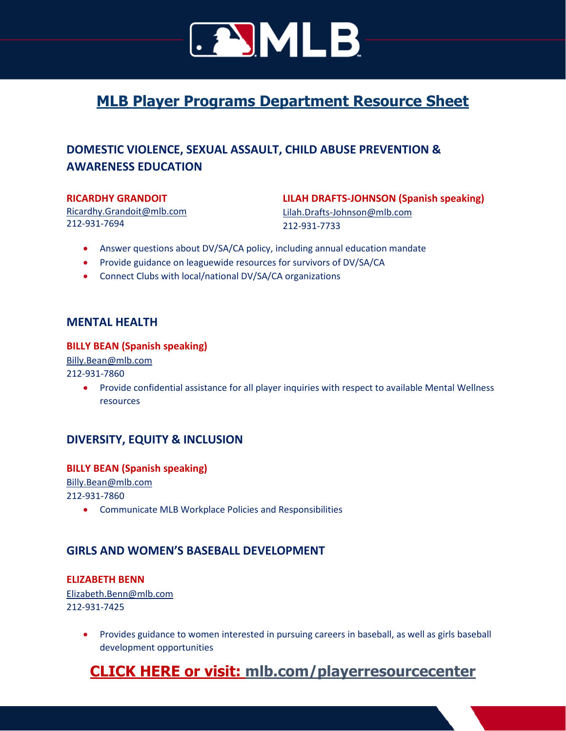

# **MLB Player Programs Department Resource Sheet**

# **DOMESTIC VIOLENCE, SEXUAL ASSAULT, CHILD ABUSE PREVENTION & AWARENESS EDUCATION**

#### **RICARDHY GRANDOIT**

[Ricardhy.Grandoit@mlb.com](mailto:Ricardhy.Grandoit@mlb.com) 212-931-7694

**LILAH DRAFTS-JOHNSON (Spanish speaking)**  [Lilah.Drafts-Johnson@mlb.com](mailto:Lilah.Drafts-Johnson@mlb.com)

212-931-7733

- Answer questions about DV/SA/CA policy, including annual education mandate
- Provide guidance on leaguewide resources for survivors of DV/SA/CA
- Connect Clubs with local/national DV/SA/CA organizations

#### **MENTAL HEALTH**

#### **BILLY BEAN (Spanish speaking)**

[Billy.Bean@mlb.com](mailto:Billy.Bean@mlb.com)

212-931-7860

• Provide confidential assistance for all player inquiries with respect to available Mental Wellness resources

## **DIVERSITY, EQUITY & INCLUSION**

#### **BILLY BEAN (Spanish speaking)**

[Billy.Bean@mlb.com](mailto:Billy.Bean@mlb.com) 212-931-7860

• Communicate MLB Workplace Policies and Responsibilities

## **GIRLS AND WOMEN'S BASEBALL DEVELOPMENT**

## **ELIZABETH BENN**

[Elizabeth.Benn@mlb.com](mailto:Elizabeth.Benn@mlb.com) 212-931-7425

> • Provides guidance to women interested in pursuing careers in baseball, as well as girls baseball development opportunities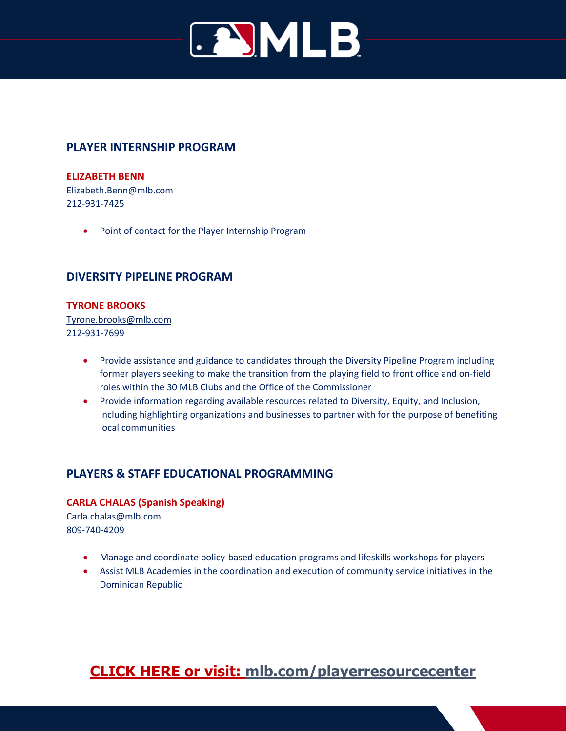

# **PLAYER INTERNSHIP PROGRAM**

#### **ELIZABETH BENN**

[Elizabeth.Benn@mlb.com](mailto:Elizabeth.Benn@mlb.com) 212-931-7425

• Point of contact for the Player Internship Program

## **DIVERSITY PIPELINE PROGRAM**

#### **TYRONE BROOKS**

[Tyrone.brooks@mlb.com](mailto:Tyrone.brooks@mlb.com) 212-931-7699

- Provide assistance and guidance to candidates through the Diversity Pipeline Program including former players seeking to make the transition from the playing field to front office and on-field roles within the 30 MLB Clubs and the Office of the Commissioner
- Provide information regarding available resources related to Diversity, Equity, and Inclusion, including highlighting organizations and businesses to partner with for the purpose of benefiting local communities

# **PLAYERS & STAFF EDUCATIONAL PROGRAMMING**

#### **CARLA CHALAS (Spanish Speaking)**

[Carla.chalas@mlb.com](mailto:Carla.chalas@mlb.com) 809-740-4209

- Manage and coordinate policy-based education programs and lifeskills workshops for players
- Assist MLB Academies in the coordination and execution of community service initiatives in the Dominican Republic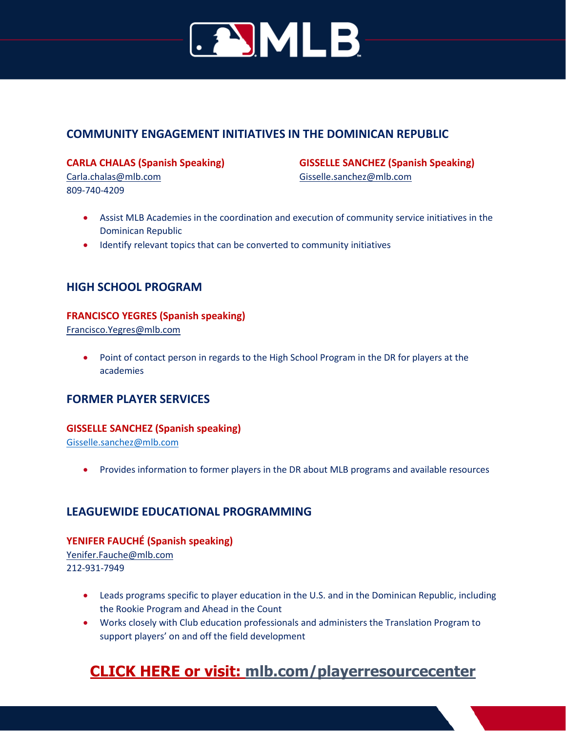

# **COMMUNITY ENGAGEMENT INITIATIVES IN THE DOMINICAN REPUBLIC**

**CARLA CHALAS (Spanish Speaking)**  [Carla.chalas@mlb.com](mailto:Carla.chalas@mlb.com)

809-740-4209

**GISSELLE SANCHEZ (Spanish Speaking)**  [Gisselle.sanchez@mlb.com](mailto:Gisselle.sanchez@mlb.com)

- Assist MLB Academies in the coordination and execution of community service initiatives in the Dominican Republic
- Identify relevant topics that can be converted to community initiatives

## **HIGH SCHOOL PROGRAM**

#### **FRANCISCO YEGRES (Spanish speaking)**

[Francisco.Yegres@mlb.com](mailto:Francisco.Yegres@mlb.com)

• Point of contact person in regards to the High School Program in the DR for players at the academies

## **FORMER PLAYER SERVICES**

#### **GISSELLE SANCHEZ (Spanish speaking)**

[Gisselle.sanchez@mlb.com](mailto:Gisselle.sanchez@mlb.com)

• Provides information to former players in the DR about MLB programs and available resources

## **LEAGUEWIDE EDUCATIONAL PROGRAMMING**

#### **YENIFER FAUCHÉ (Spanish speaking)**

[Yenifer.Fauche@mlb.com](mailto:Yenifer.Fauche@mlb.com) 212-931-7949

- Leads programs specific to player education in the U.S. and in the Dominican Republic, including the Rookie Program and Ahead in the Count
- Works closely with Club education professionals and administers the Translation Program to support players' on and off the field development